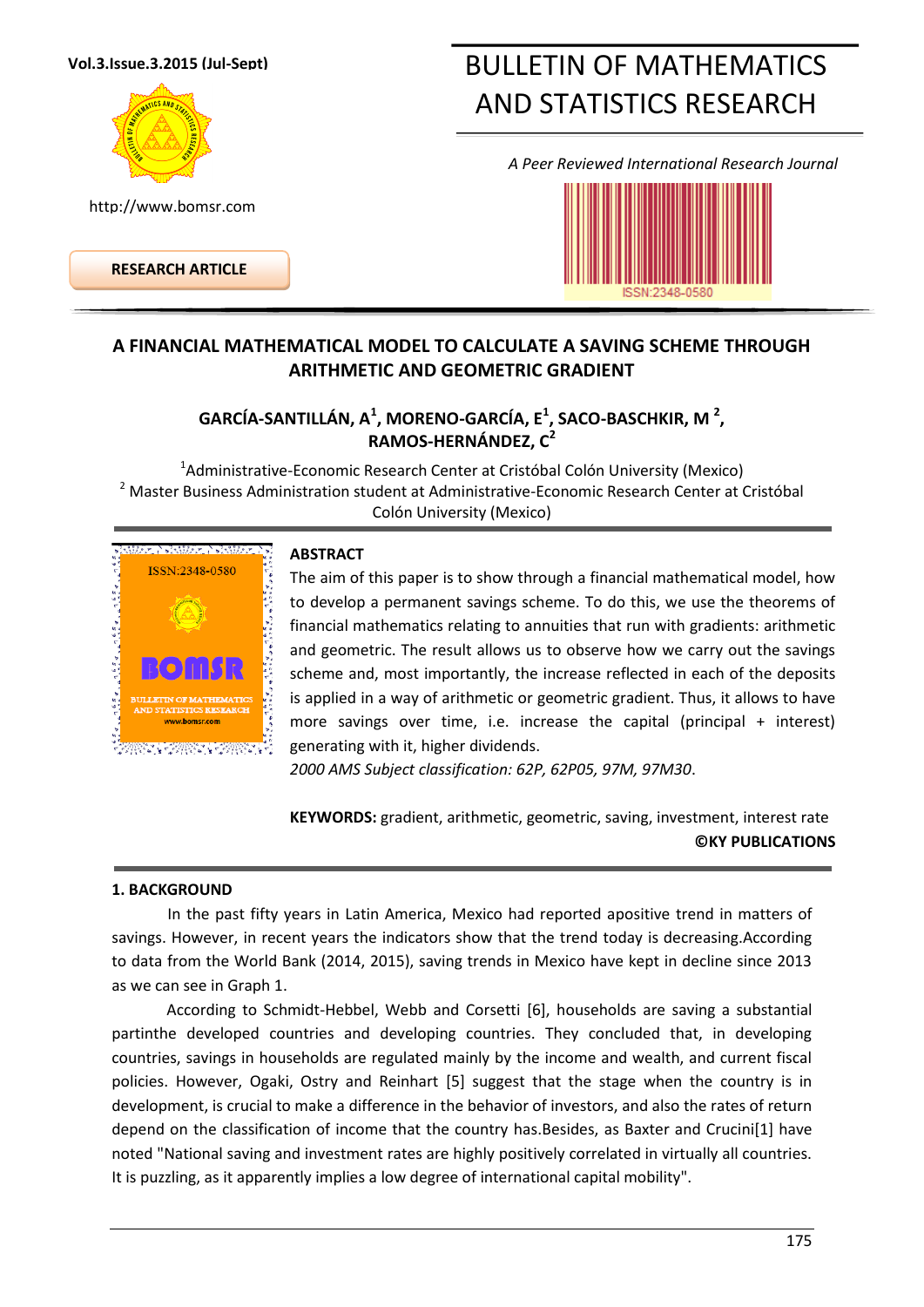#### **Vol.3.Issue.3.2015 (Jul-Sept)**



http://www.bomsr.com

**RESEARCH ARTICLE**

# BULLETIN OF MATHEMATICS AND STATISTICS RESEARCH

*A Peer Reviewed International Research Journal*



# **A FINANCIAL MATHEMATICAL MODEL TO CALCULATE A SAVING SCHEME THROUGH ARITHMETIC AND GEOMETRIC GRADIENT**

## **GARCÍA-SANTILLÁN, A<sup>1</sup> , MORENO-GARCÍA, E<sup>1</sup> , SACO-BASCHKIR, M <sup>2</sup> , RAMOS-HERNÁNDEZ, C<sup>2</sup>**

<sup>1</sup>Administrative-Economic Research Center at Cristóbal Colón University (Mexico) <sup>2</sup> Master Business Administration student at Administrative-Economic Research Center at Cristóbal Colón University (Mexico)



#### **ABSTRACT**

The aim of this paper is to show through a financial mathematical model, how to develop a permanent savings scheme. To do this, we use the theorems of financial mathematics relating to annuities that run with gradients: arithmetic and geometric. The result allows us to observe how we carry out the savings scheme and, most importantly, the increase reflected in each of the deposits is applied in a way of arithmetic or geometric gradient. Thus, it allows to have more savings over time, i.e. increase the capital (principal + interest) generating with it, higher dividends.

*2000 AMS Subject classification: 62P, 62P05, 97M, 97M30*.

**KEYWORDS:** gradient, arithmetic, geometric, saving, investment, interest rate **©KY PUBLICATIONS**

#### **1. BACKGROUND**

In the past fifty years in Latin America, Mexico had reported apositive trend in matters of savings. However, in recent years the indicators show that the trend today is decreasing.According to data from the World Bank (2014, 2015), saving trends in Mexico have kept in decline since 2013 as we can see in Graph 1.

According to Schmidt-Hebbel, Webb and Corsetti [6], households are saving a substantial partinthe developed countries and developing countries. They concluded that, in developing countries, savings in households are regulated mainly by the income and wealth, and current fiscal policies. However, Ogaki, Ostry and Reinhart [5] suggest that the stage when the country is in development, is crucial to make a difference in the behavior of investors, and also the rates of return depend on the classification of income that the country has.Besides, as Baxter and Crucini[1] have noted "National saving and investment rates are highly positively correlated in virtually all countries. It is puzzling, as it apparently implies a low degree of international capital mobility".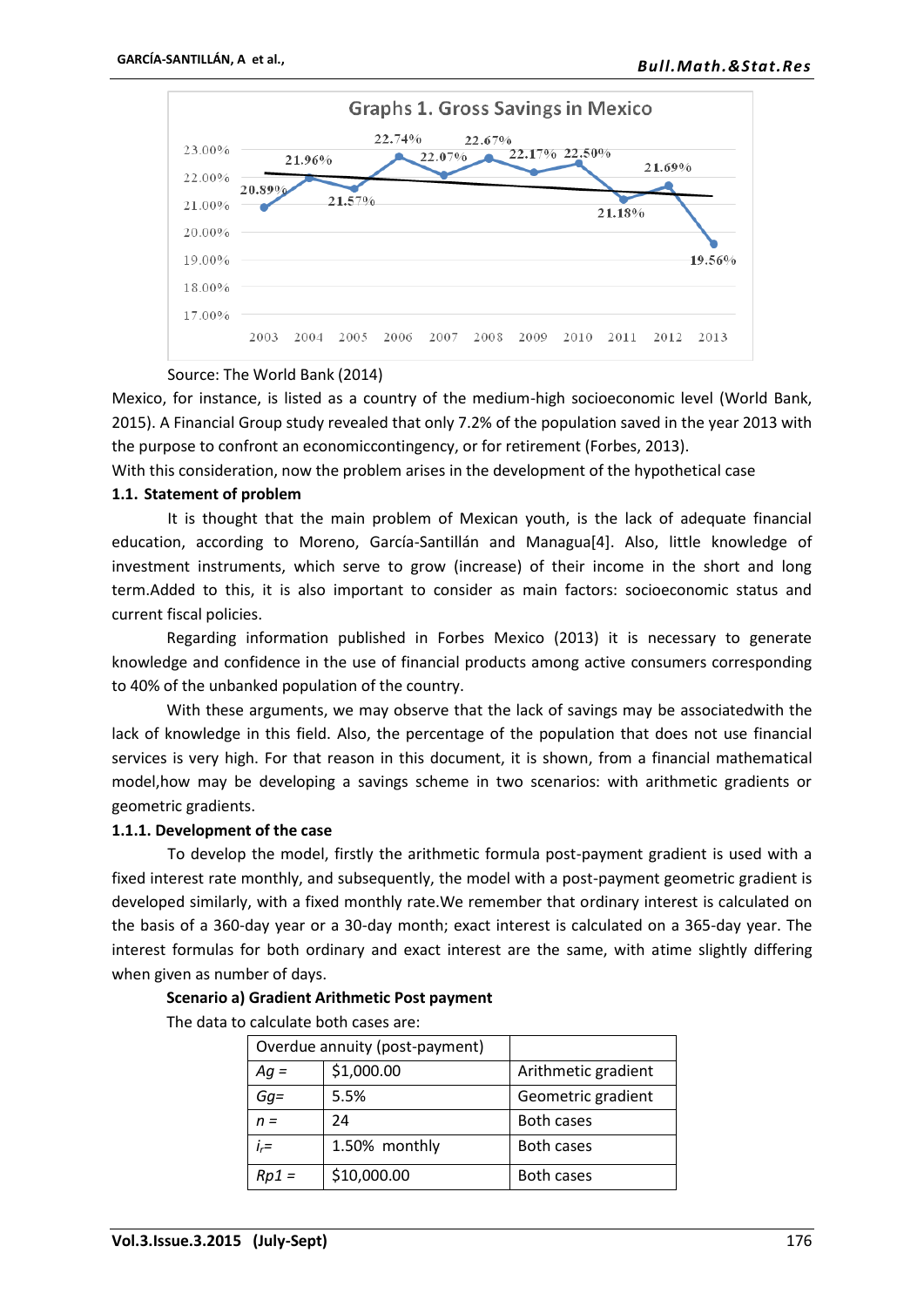

#### Source: The World Bank (2014)

Mexico, for instance, is listed as a country of the medium-high socioeconomic level (World Bank, 2015). A Financial Group study revealed that only 7.2% of the population saved in the year 2013 with the purpose to confront an economiccontingency, or for retirement (Forbes, 2013).

With this consideration, now the problem arises in the development of the hypothetical case

#### **1.1. Statement of problem**

It is thought that the main problem of Mexican youth, is the lack of adequate financial education, according to Moreno, García-Santillán and Managua[4]. Also, little knowledge of investment instruments, which serve to grow (increase) of their income in the short and long term.Added to this, it is also important to consider as main factors: socioeconomic status and current fiscal policies.

Regarding information published in Forbes Mexico (2013) it is necessary to generate knowledge and confidence in the use of financial products among active consumers corresponding to 40% of the unbanked population of the country.

With these arguments, we may observe that the lack of savings may be associatedwith the lack of knowledge in this field. Also, the percentage of the population that does not use financial services is very high. For that reason in this document, it is shown, from a financial mathematical model,how may be developing a savings scheme in two scenarios: with arithmetic gradients or geometric gradients.

#### **1.1.1. Development of the case**

To develop the model, firstly the arithmetic formula post-payment gradient is used with a fixed interest rate monthly, and subsequently, the model with a post-payment geometric gradient is developed similarly, with a fixed monthly rate.We remember that ordinary interest is calculated on the basis of a 360-day year or a 30-day month; exact interest is calculated on a 365-day year. The interest formulas for both ordinary and exact interest are the same, with atime slightly differing when given as number of days.

#### **Scenario a) Gradient Arithmetic Post payment**

The data to calculate both cases are:

|           | Overdue annuity (post-payment) |                     |
|-----------|--------------------------------|---------------------|
| $Aq =$    | \$1,000.00                     | Arithmetic gradient |
| $Gq=$     | 5.5%                           | Geometric gradient  |
| $n =$     | 24                             | Both cases          |
| $i_{r}$ = | 1.50% monthly                  | <b>Both cases</b>   |
| $Rp1 =$   | \$10,000.00                    | Both cases          |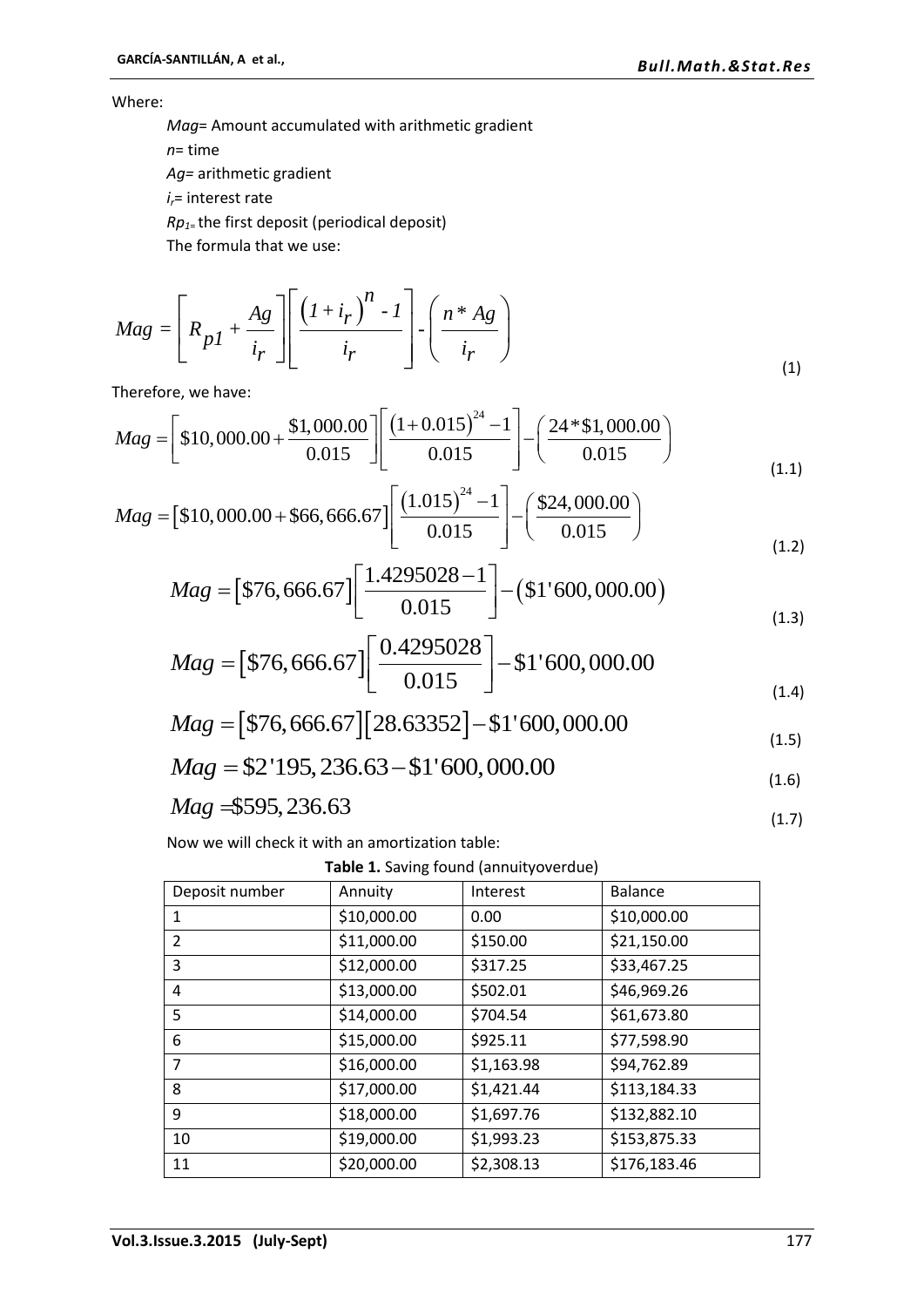Where:

*Mag*= Amount accumulated with arithmetic gradient

*n*= time

*Ag=* arithmetic gradient

*ir*= interest rate

*Rp1*= the first deposit (periodical deposit)

The formula that we use:

$$
Mag = \left[ R_{p1} + \frac{Ag}{i_r} \right] \left[ \frac{\left( I + i_r \right)^n - I}{i_r} \right] \cdot \left( \frac{n * Ag}{i_r} \right)
$$
\n(1)

Therefore, we have:

Therefore, we have:  
\n
$$
Mag = \begin{bmatrix} 10,000.00 + \frac{\$1,000.00}{0.015} \end{bmatrix} \begin{bmatrix} (1+0.015)^{24} - 1 \\ 0.015 \end{bmatrix} - \begin{bmatrix} 24 * \$1,000.00 \\ 0.015 \end{bmatrix}
$$
\n
$$
Mag = \$10,000.00 + \$66,666.67 \begin{bmatrix} (1.015)^{24} - 1 \\ 0.015 \end{bmatrix} - \begin{bmatrix} \$24,000.00 \\ 0.015 \end{bmatrix}
$$
\n(1.1)

$$
Mag = \left[ \$10,000.00 + \frac{0.015}{0.015} \right] \left[ \frac{0.015}{0.015} \right]^{-1} \left[ \frac{0.015}{0.015} \right]
$$
\n
$$
Mag = \$10,000.00 + \$66,666.67 \left[ \frac{(1.015)^{24} - 1}{0.015} \right] - \left( \frac{\$24,000.00}{0.015} \right)
$$
\n
$$
(1.2)
$$

$$
Mag = \left[ $76,666.67 \right] \left[ \frac{1.4295028 - 1}{0.015} \right] - \left( 51'600,000.00 \right)
$$
\n
$$
Mag = \left[ $76,666.67 \right] \left[ \frac{0.4295028 - 1}{0.015} \right] - \left( $1'600,000.00 \right)
$$
\n
$$
Mag = \left[ $76,666.67 \right] \left[ \frac{0.4295028}{0.015} \right] - $1'600,000.00
$$
\n
$$
(1.3)
$$

$$
Mag = \begin{bmatrix} $76,666.67 \end{bmatrix} \begin{bmatrix} 0.015 & 0.015 \\ \frac{0.4295028}{0.015} \end{bmatrix} - $1'600,000.00 \tag{1.4}
$$

$$
Mag = [\$76,666.67][28.63352] - \$1'600,000.00
$$
  
\n
$$
Mag = \$2'195,236.63 - \$1'600,000.00
$$
\n(1.5)  
\n
$$
(1.4)
$$
\n
$$
(1.4)
$$
\n
$$
(1.5)
$$
\n(1.6)

$$
Mag = \$2'195, 236.63 - \$1'600, 000.00
$$
\n
$$
(1.6)
$$

$$
Mag = 595, 236.63 \tag{1.7}
$$

Now we will check it with an amortization table:

**Table 1.** Saving found (annuityoverdue)

| Deposit number | Annuity     | Interest   | <b>Balance</b> |  |  |  |
|----------------|-------------|------------|----------------|--|--|--|
| 1              | \$10,000.00 | 0.00       | \$10,000.00    |  |  |  |
| 2              | \$11,000.00 | \$150.00   | \$21,150.00    |  |  |  |
| 3              | \$12,000.00 | \$317.25   | \$33,467.25    |  |  |  |
| 4              | \$13,000.00 | \$502.01   | \$46,969.26    |  |  |  |
| 5              | \$14,000.00 | \$704.54   | \$61,673.80    |  |  |  |
| 6              | \$15,000.00 | \$925.11   | \$77,598.90    |  |  |  |
| 7              | \$16,000.00 | \$1,163.98 | \$94,762.89    |  |  |  |
| 8              | \$17,000.00 | \$1,421.44 | \$113,184.33   |  |  |  |
| 9              | \$18,000.00 | \$1,697.76 | \$132,882.10   |  |  |  |
| 10             | \$19,000.00 | \$1,993.23 | \$153,875.33   |  |  |  |
| 11             | \$20,000.00 | \$2,308.13 | \$176,183.46   |  |  |  |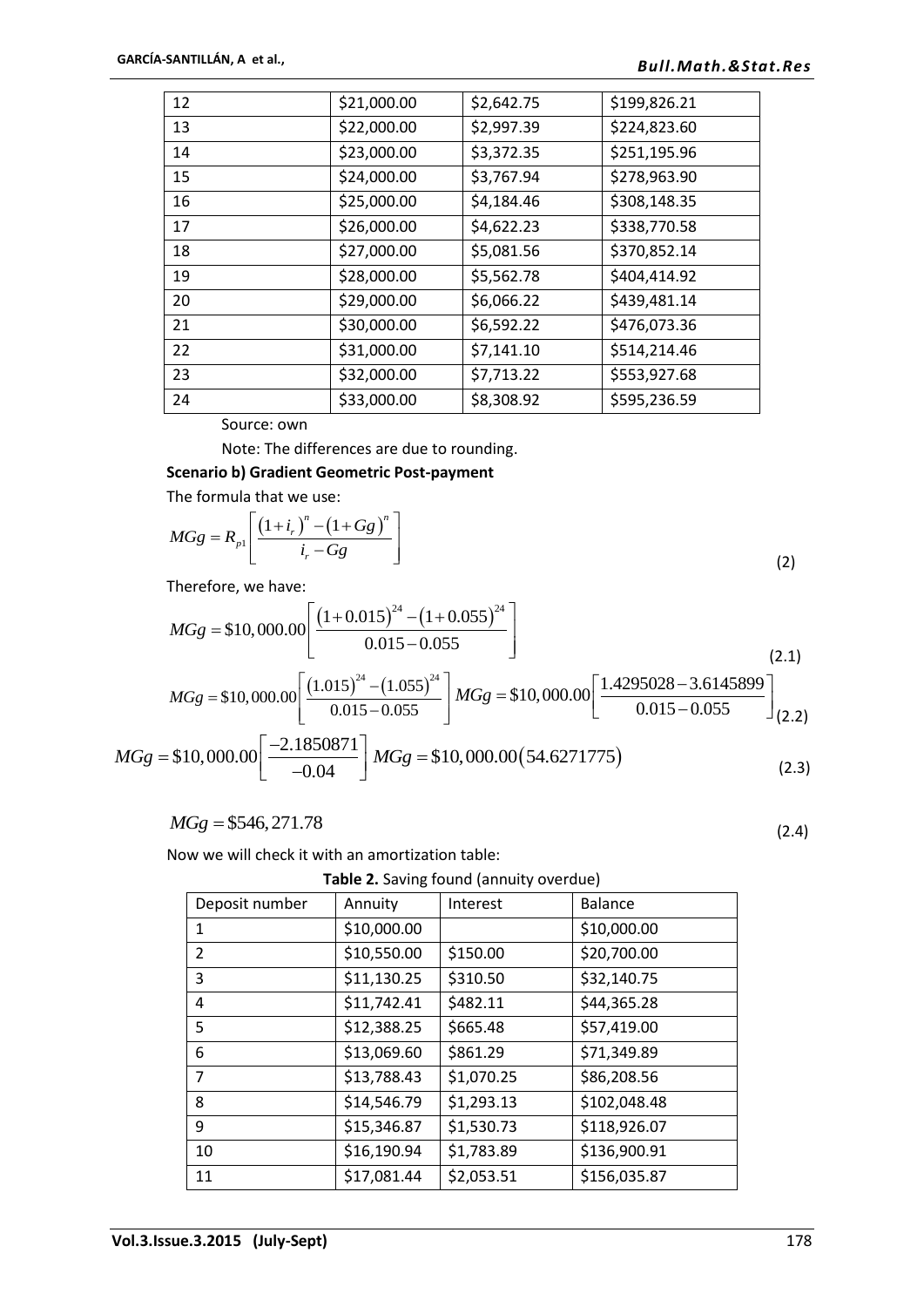| 12 | \$21,000.00 | \$2,642.75 | \$199,826.21 |
|----|-------------|------------|--------------|
| 13 | \$22,000.00 | \$2,997.39 | \$224,823.60 |
| 14 | \$23,000.00 | \$3,372.35 | \$251,195.96 |
| 15 | \$24,000.00 | \$3,767.94 | \$278,963.90 |
| 16 | \$25,000.00 | \$4,184.46 | \$308,148.35 |
| 17 | \$26,000.00 | \$4,622.23 | \$338,770.58 |
| 18 | \$27,000.00 | \$5,081.56 | \$370,852.14 |
| 19 | \$28,000.00 | \$5,562.78 | \$404,414.92 |
| 20 | \$29,000.00 | \$6,066.22 | \$439,481.14 |
| 21 | \$30,000.00 | \$6,592.22 | \$476,073.36 |
| 22 | \$31,000.00 | \$7,141.10 | \$514,214.46 |
| 23 | \$32,000.00 | \$7,713.22 | \$553,927.68 |
| 24 | \$33,000.00 | \$8,308.92 | \$595,236.59 |

Source: own

Note: The differences are due to rounding.

## **Scenario b) Gradient Geometric Post-payment**

The formula that we use:  
\n
$$
MGg = R_{p1} \left[ \frac{\left(1 + i_r\right)^n - \left(1 + Gg\right)^n}{i_r - Gg} \right]
$$
\n(2)

Therefore, we have:

Therefore, we have:  
\n
$$
MGg = $10,000.00 \left[ \frac{(1+0.015)^{24} - (1+0.055)^{24}}{0.015 - 0.055} \right]
$$
\n
$$
MGg = $10,000.00 \left[ \frac{(1.015)^{24} - (1.055)^{24}}{0.015 - 0.055} \right] MGg = $10,000.00 \left[ \frac{1.4295028 - 3.6145899}{0.015 - 0.055} \right]_{(2.2)}
$$

 $(2.4)$ 

$$
MGg = $10,000.00 \left[ \frac{-2.1850871}{-0.04} \right] MGg = $10,000.00 (54.6271775)
$$
 (2.3)

$$
MGg = $546, 271.78
$$

Now we will check it with an amortization table:

**Table 2.** Saving found (annuity overdue)

| Deposit number | Annuity     | Interest   | <b>Balance</b> |
|----------------|-------------|------------|----------------|
| 1              | \$10,000.00 |            | \$10,000.00    |
| 2              | \$10,550.00 | \$150.00   | \$20,700.00    |
| 3              | \$11,130.25 | \$310.50   | \$32,140.75    |
| 4              | \$11,742.41 | \$482.11   | \$44,365.28    |
| 5              | \$12,388.25 | \$665.48   | \$57,419.00    |
| 6              | \$13,069.60 | \$861.29   | \$71,349.89    |
| 7              | \$13,788.43 | \$1,070.25 | \$86,208.56    |
| 8              | \$14,546.79 | \$1,293.13 | \$102,048.48   |
| 9              | \$15,346.87 | \$1,530.73 | \$118,926.07   |
| 10             | \$16,190.94 | \$1,783.89 | \$136,900.91   |
| 11             | \$17,081.44 | \$2,053.51 | \$156,035.87   |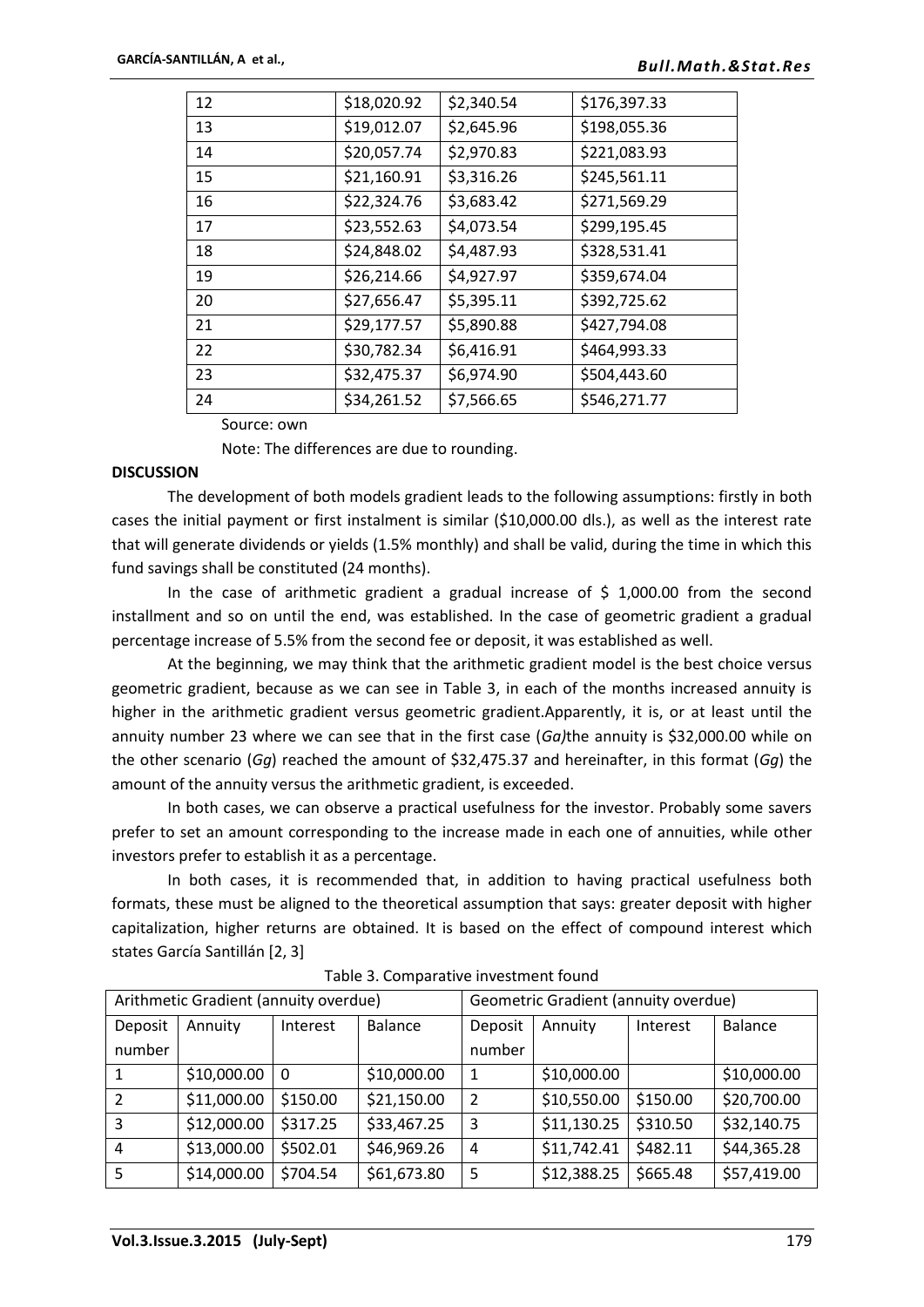| 12 | \$18,020.92 | \$2,340.54 | \$176,397.33 |
|----|-------------|------------|--------------|
| 13 | \$19,012.07 | \$2,645.96 | \$198,055.36 |
| 14 | \$20,057.74 | \$2,970.83 | \$221,083.93 |
| 15 | \$21,160.91 | \$3,316.26 | \$245,561.11 |
| 16 | \$22,324.76 | \$3,683.42 | \$271,569.29 |
| 17 | \$23,552.63 | \$4,073.54 | \$299,195.45 |
| 18 | \$24,848.02 | \$4,487.93 | \$328,531.41 |
| 19 | \$26,214.66 | \$4,927.97 | \$359,674.04 |
| 20 | \$27,656.47 | \$5,395.11 | \$392,725.62 |
| 21 | \$29,177.57 | \$5,890.88 | \$427,794.08 |
| 22 | \$30,782.34 | \$6,416.91 | \$464,993.33 |
| 23 | \$32,475.37 | \$6,974.90 | \$504,443.60 |
| 24 | \$34,261.52 | \$7,566.65 | \$546,271.77 |
|    |             |            |              |

Source: own

Note: The differences are due to rounding.

#### **DISCUSSION**

The development of both models gradient leads to the following assumptions: firstly in both cases the initial payment or first instalment is similar (\$10,000.00 dls.), as well as the interest rate that will generate dividends or yields (1.5% monthly) and shall be valid, during the time in which this fund savings shall be constituted (24 months).

In the case of arithmetic gradient a gradual increase of  $\frac{1}{2}$  1,000.00 from the second installment and so on until the end, was established. In the case of geometric gradient a gradual percentage increase of 5.5% from the second fee or deposit, it was established as well.

At the beginning, we may think that the arithmetic gradient model is the best choice versus geometric gradient, because as we can see in Table 3, in each of the months increased annuity is higher in the arithmetic gradient versus geometric gradient.Apparently, it is, or at least until the annuity number 23 where we can see that in the first case (*Ga)*the annuity is \$32,000.00 while on the other scenario (*Gg*) reached the amount of \$32,475.37 and hereinafter, in this format (*Gg*) the amount of the annuity versus the arithmetic gradient, is exceeded.

In both cases, we can observe a practical usefulness for the investor. Probably some savers prefer to set an amount corresponding to the increase made in each one of annuities, while other investors prefer to establish it as a percentage.

In both cases, it is recommended that, in addition to having practical usefulness both formats, these must be aligned to the theoretical assumption that says: greater deposit with higher capitalization, higher returns are obtained. It is based on the effect of compound interest which states García Santillán [2, 3]

| Arithmetic Gradient (annuity overdue) |             |          | Geometric Gradient (annuity overdue) |                |             |          |                |
|---------------------------------------|-------------|----------|--------------------------------------|----------------|-------------|----------|----------------|
| Deposit                               | Annuity     | Interest | <b>Balance</b>                       | Deposit        | Annuity     | Interest | <b>Balance</b> |
| number                                |             |          |                                      | number         |             |          |                |
|                                       | \$10,000.00 | 0        | \$10,000.00                          | 1              | \$10,000.00 |          | \$10,000.00    |
| 2                                     | \$11,000.00 | \$150.00 | \$21,150.00                          | $\overline{2}$ | \$10,550.00 | \$150.00 | \$20,700.00    |
| 3                                     | \$12,000.00 | \$317.25 | \$33,467.25                          | 3              | \$11,130.25 | \$310.50 | \$32,140.75    |
| 4                                     | \$13,000.00 | \$502.01 | \$46,969.26                          | 4              | \$11,742.41 | \$482.11 | \$44,365.28    |
| 5                                     | \$14,000.00 | \$704.54 | \$61,673.80                          | 5              | \$12,388.25 | \$665.48 | \$57,419.00    |

Table 3. Comparative investment found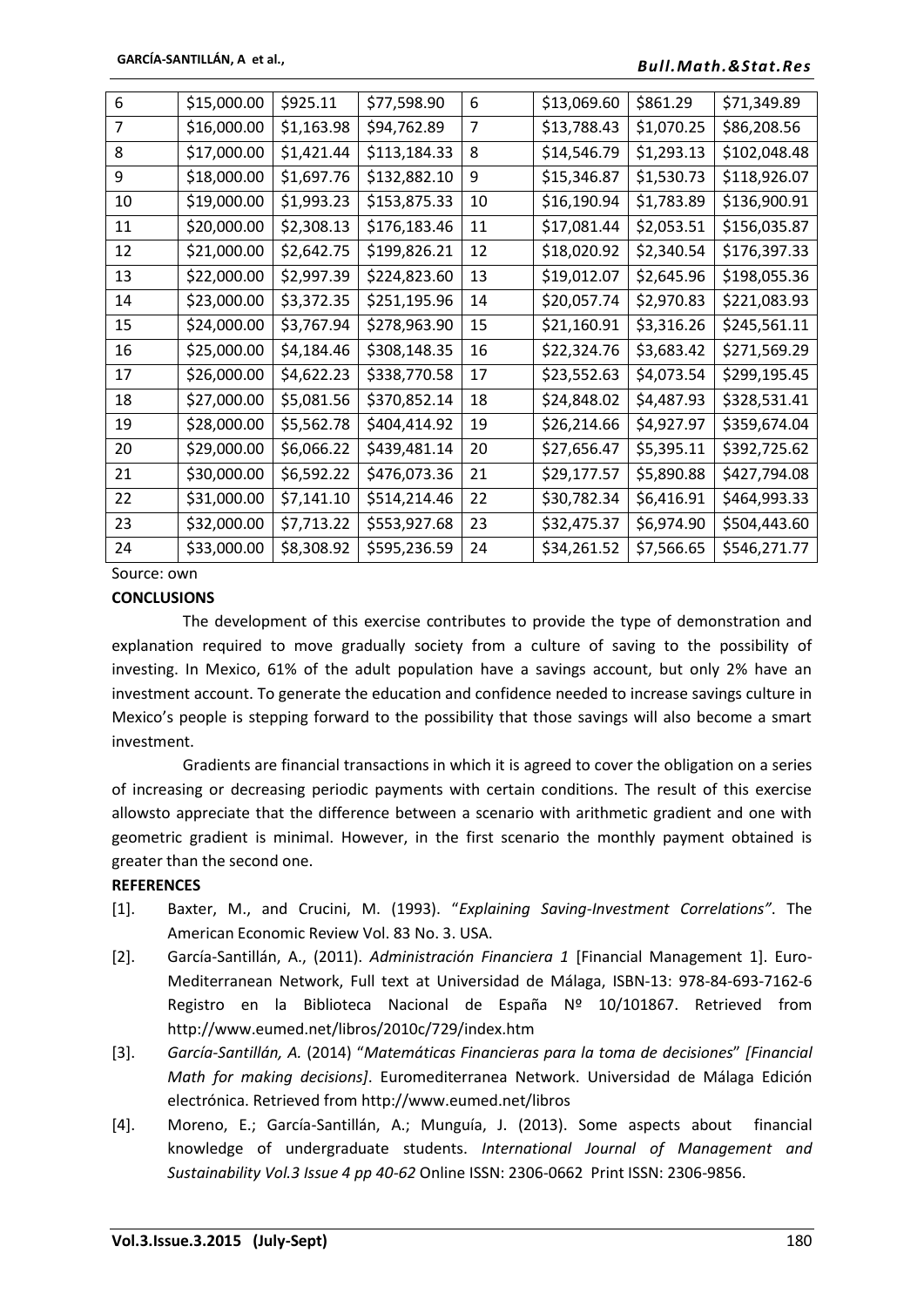| 6              | \$15,000.00 | \$925.11   | \$77,598.90  | 6  | \$13,069.60 | \$861.29   | \$71,349.89  |
|----------------|-------------|------------|--------------|----|-------------|------------|--------------|
| $\overline{7}$ | \$16,000.00 | \$1,163.98 | \$94,762.89  | 7  | \$13,788.43 | \$1,070.25 | \$86,208.56  |
| 8              | \$17,000.00 | \$1,421.44 | \$113,184.33 | 8  | \$14,546.79 | \$1,293.13 | \$102,048.48 |
| 9              | \$18,000.00 | \$1,697.76 | \$132,882.10 | 9  | \$15,346.87 | \$1,530.73 | \$118,926.07 |
| 10             | \$19,000.00 | \$1,993.23 | \$153,875.33 | 10 | \$16,190.94 | \$1,783.89 | \$136,900.91 |
| 11             | \$20,000.00 | \$2,308.13 | \$176,183.46 | 11 | \$17,081.44 | \$2,053.51 | \$156,035.87 |
| 12             | \$21,000.00 | \$2,642.75 | \$199,826.21 | 12 | \$18,020.92 | \$2,340.54 | \$176,397.33 |
| 13             | \$22,000.00 | \$2,997.39 | \$224,823.60 | 13 | \$19,012.07 | \$2,645.96 | \$198,055.36 |
| 14             | \$23,000.00 | \$3,372.35 | \$251,195.96 | 14 | \$20,057.74 | \$2,970.83 | \$221,083.93 |
| 15             | \$24,000.00 | \$3,767.94 | \$278,963.90 | 15 | \$21,160.91 | \$3,316.26 | \$245,561.11 |
| 16             | \$25,000.00 | \$4,184.46 | \$308,148.35 | 16 | \$22,324.76 | \$3,683.42 | \$271,569.29 |
| 17             | \$26,000.00 | \$4,622.23 | \$338,770.58 | 17 | \$23,552.63 | \$4,073.54 | \$299,195.45 |
| 18             | \$27,000.00 | \$5,081.56 | \$370,852.14 | 18 | \$24,848.02 | \$4,487.93 | \$328,531.41 |
| 19             | \$28,000.00 | \$5,562.78 | \$404,414.92 | 19 | \$26,214.66 | \$4,927.97 | \$359,674.04 |
| 20             | \$29,000.00 | \$6,066.22 | \$439,481.14 | 20 | \$27,656.47 | \$5,395.11 | \$392,725.62 |
| 21             | \$30,000.00 | \$6,592.22 | \$476,073.36 | 21 | \$29,177.57 | \$5,890.88 | \$427,794.08 |
| 22             | \$31,000.00 | \$7,141.10 | \$514,214.46 | 22 | \$30,782.34 | \$6,416.91 | \$464,993.33 |
| 23             | \$32,000.00 | \$7,713.22 | \$553,927.68 | 23 | \$32,475.37 | \$6,974.90 | \$504,443.60 |
| 24             | \$33,000.00 | \$8,308.92 | \$595,236.59 | 24 | \$34,261.52 | \$7,566.65 | \$546,271.77 |
|                |             |            |              |    |             |            |              |

Source: own

#### **CONCLUSIONS**

The development of this exercise contributes to provide the type of demonstration and explanation required to move gradually society from a culture of saving to the possibility of investing. In Mexico, 61% of the adult population have a savings account, but only 2% have an investment account. To generate the education and confidence needed to increase savings culture in Mexico's people is stepping forward to the possibility that those savings will also become a smart investment.

Gradients are financial transactions in which it is agreed to cover the obligation on a series of increasing or decreasing periodic payments with certain conditions. The result of this exercise allowsto appreciate that the difference between a scenario with arithmetic gradient and one with geometric gradient is minimal. However, in the first scenario the monthly payment obtained is greater than the second one.

#### **REFERENCES**

- [1]. Baxter, M., and Crucini, M. (1993). "*Explaining Saving-Investment Correlations"*. The American Economic Review Vol. 83 No. 3. USA.
- [2]. García-Santillán, A., (2011). *Administración Financiera 1* [Financial Management 1]. Euro-Mediterranean Network, Full text at Universidad de Málaga, ISBN-13: 978-84-693-7162-6 Registro en la Biblioteca Nacional de España Nº 10/101867. Retrieved from http://www.eumed.net/libros/2010c/729/index.htm
- [3]. *García-Santillán, A.* (2014) "*Matemáticas Financieras para la toma de decisiones*" *[Financial Math for making decisions]*. Euromediterranea Network. Universidad de Málaga Edición electrónica. Retrieved from http://www.eumed.net/libros
- [4]. Moreno, E.; García-Santillán, A.; Munguía, J. (2013). Some aspects about financial knowledge of undergraduate students. *International Journal of Management and Sustainability Vol.3 Issue 4 pp 40-62* Online ISSN: 2306-0662 Print ISSN: 2306-9856.